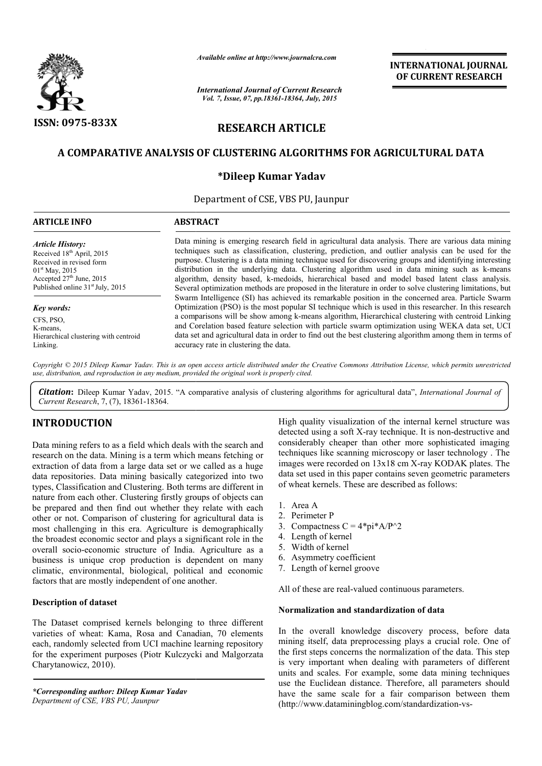

*Available online at http://www.journalcra.com*

*International Journal of Current Research Vol. 7, Issue, 07, pp.18361-18364, July, 2015*

**INTERNATIONAL INTERNATIONAL JOURNAL OF CURRENT RESEARCH** 

# **RESEARCH ARTICLE**

## **A COMPARATIVE ANALYSIS OF CLUSTERING ALGORITHMS FOR AGRICULTURAL DATA**

## **\*Dileep Kumar Yadav**

Department of CSE, VBS PU, Jaunpur

| <b>ARTICLE INFO</b>                                                                                                                                                                          | <b>ABSTRACT</b>                                                                                                                                                                                                                                                                                                                                                                                                                                                                                                                                                                                                                      |  |  |  |  |  |
|----------------------------------------------------------------------------------------------------------------------------------------------------------------------------------------------|--------------------------------------------------------------------------------------------------------------------------------------------------------------------------------------------------------------------------------------------------------------------------------------------------------------------------------------------------------------------------------------------------------------------------------------------------------------------------------------------------------------------------------------------------------------------------------------------------------------------------------------|--|--|--|--|--|
| <b>Article History:</b><br>Received 18th April, 2015<br>Received in revised form<br>$01st$ May, 2015<br>Accepted 27 <sup>th</sup> June, 2015<br>Published online 31 <sup>st</sup> July, 2015 | Data mining is emerging research field in agricultural data analysis. There are various data mining<br>techniques such as classification, clustering, prediction, and outlier analysis can be used for the<br>purpose. Clustering is a data mining technique used for discovering groups and identifying interesting<br>distribution in the underlying data. Clustering algorithm used in data mining such as k-means<br>algorithm, density based, k-medoids, hierarchical based and model based latent class analysis.<br>Several optimization methods are proposed in the literature in order to solve clustering limitations, but |  |  |  |  |  |
| <b>Key words:</b><br>CFS, PSO,<br>K-means.<br>Hierarchical clustering with centroid<br>Linking.                                                                                              | Swarm Intelligence (SI) has achieved its remarkable position in the concerned area. Particle Swarm<br>Optimization (PSO) is the most popular SI technique which is used in this researcher. In this research<br>a comparisons will be show among k-means algorithm, Hierarchical clustering with centroid Linking<br>and Corelation based feature selection with particle swarm optimization using WEKA data set, UCI<br>data set and agricultural data in order to find out the best clustering algorithm among them in terms of<br>accuracy rate in clustering the data.                                                           |  |  |  |  |  |

Copyright © 2015 Dileep Kumar Yadav. This is an open access article distributed under the Creative Commons Attribution License, which permits unrestricted *use, distribution, and reproduction in any medium, provided the original work is properly cited.*

Citation: Dileep Kumar Yadav, 2015. "A comparative analysis of clustering algorithms for agricultural data", *International Journal of Current Research*, 7, (7), 18361-18364.

## **INTRODUCTION**

Data mining refers to as a field which deals with the search and research on the data. Mining is a term which means fetching or extraction of data from a large data set or we called as a huge data repositories. Data mining basically categorized into two types, Classification and Clustering. Both terms are different in nature from each other. Clustering firstly groups of objects can be prepared and then find out whether they relate with each other or not. Comparison of clustering for agricultural data is most challenging in this era. Agriculture is demographically the broadest economic sector and plays a significant role in the overall socio-economic structure of India. Agriculture as a business is unique crop production is dependent on many climatic, environmental, biological, political and economic factors that are mostly independent of one another.

## **Description of dataset**

The Dataset comprised kernels belonging to three different varieties of wheat: Kama, Rosa and Canadian, 70 elements each, randomly selected from UCI machine learning repository for the experiment purposes (Piotr Kulczycki and Malgorzata Charytanowicz, 2010). economic structure of India. Agriculture as a<br>nique crop production is dependent on many<br>ronmental, biological, political and economic<br>emostly independent of one another.<br>**f** dataset<br>comprised kernels belonging to three di

*\*Corresponding author: Dileep Kumar Yadav Department of CSE, VBS PU, Jaunpur*

High quality visualization of the internal kernel structure was High quality visualization of the internal kernel structure was detected using a soft X-ray technique. It is non-destructive and considerably cheaper than other more sophisticated imaging techniques like scanning microscopy or laser technology . The images were recorded on 13x18 cm X-ray KODAK plates. The data set used in this paper contains seven geometric parameters of wheat kernels. These are described as follows: rably cheaper than other more sophisticated imaging<br>ues like scanning microscopy or laser technology. The<br>were recorded on 13x18 cm X-ray KODAK plates. The paper contains seven geometric<br>ese are described as follows:<br>=  $4*pi*A/P^2$ <br>ficient<br>groove<br>valued continuous parameters.

- 1. Area A
- 2. Perimeter P
- 3. Compactness  $C = 4 \cdot \pi i \cdot A/P^2$
- 4. Length of kernel
- 5. Width of kernel
- 6. Asymmetry coefficient
- 7. Length of kernel groove

All of these are real-valued continuous parameters.

#### **Normalization and standardization of data of data**

In the overall knowledge discovery process, before data mining itself, data preprocessing plays a crucial role. One of the first steps concerns the normalization of the data. This step is very important when dealing with parameters of different units and scales. For example, some data mining techniques use the Euclidean distance. Therefore, all parameters should have the same scale for a fair comparison between them (http://www.dataminingblog.com/standardization n the overall knowledge discovery process, bet<br>nining itself, data preprocessing plays a crucial role<br>he first steps concerns the normalization of the data.<br>s very important when dealing with parameters of<br>mits and scales.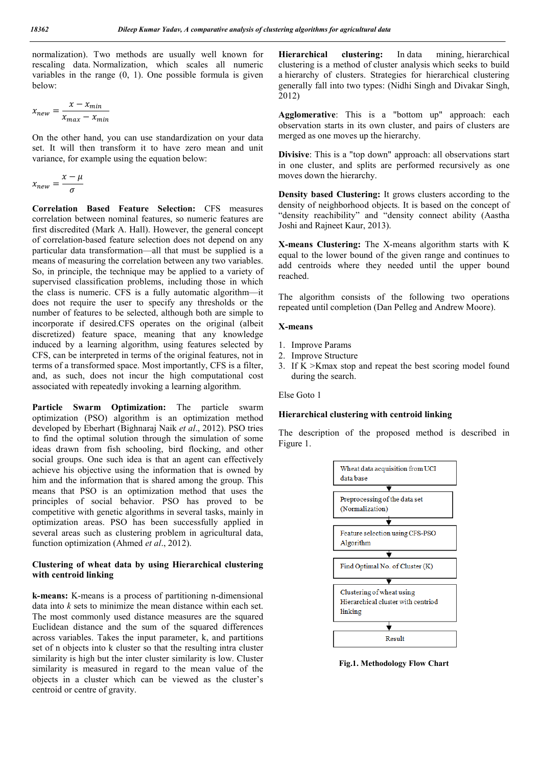normalization). Two methods are usually well known for rescaling data. Normalization, which scales all numeric variables in the range (0, 1). One possible formula is given below:

$$
x_{new} = \frac{x - x_{min}}{x_{max} - x_{min}}
$$

On the other hand, you can use standardization on your data set. It will then transform it to have zero mean and unit variance, for example using the equation below:

$$
x_{new} = \frac{x - \mu}{\sigma}
$$

**Correlation Based Feature Selection:** CFS measures correlation between nominal features, so numeric features are first discredited (Mark A. Hall). However, the general concept of correlation-based feature selection does not depend on any particular data transformation—all that must be supplied is a means of measuring the correlation between any two variables. So, in principle, the technique may be applied to a variety of supervised classification problems, including those in which the class is numeric. CFS is a fully automatic algorithm—it does not require the user to specify any thresholds or the number of features to be selected, although both are simple to incorporate if desired.CFS operates on the original (albeit discretized) feature space, meaning that any knowledge induced by a learning algorithm, using features selected by CFS, can be interpreted in terms of the original features, not in terms of a transformed space. Most importantly, CFS is a filter, and, as such, does not incur the high computational cost associated with repeatedly invoking a learning algorithm.

**Particle Swarm Optimization:** The particle swarm optimization (PSO) algorithm is an optimization method developed by Eberhart (Bighnaraj Naik *et al*., 2012). PSO tries to find the optimal solution through the simulation of some ideas drawn from fish schooling, bird flocking, and other social groups. One such idea is that an agent can effectively achieve his objective using the information that is owned by him and the information that is shared among the group. This means that PSO is an optimization method that uses the principles of social behavior. PSO has proved to be competitive with genetic algorithms in several tasks, mainly in optimization areas. PSO has been successfully applied in several areas such as clustering problem in agricultural data, function optimization (Ahmed *et al*., 2012).

### **Clustering of wheat data by using Hierarchical clustering with centroid linking**

**k-means:** K-means is a process of partitioning n-dimensional data into *k* sets to minimize the mean distance within each set. The most commonly used distance measures are the squared Euclidean distance and the sum of the squared differences across variables. Takes the input parameter, k, and partitions set of n objects into k cluster so that the resulting intra cluster similarity is high but the inter cluster similarity is low. Cluster similarity is measured in regard to the mean value of the objects in a cluster which can be viewed as the cluster's centroid or centre of gravity.

**Hierarchical clustering:** In data mining, hierarchical clustering is a method of cluster analysis which seeks to build a hierarchy of clusters. Strategies for hierarchical clustering generally fall into two types: (Nidhi Singh and Divakar Singh, 2012)

**Agglomerative**: This is a "bottom up" approach: each observation starts in its own cluster, and pairs of clusters are merged as one moves up the hierarchy.

**Divisive**: This is a "top down" approach: all observations start in one cluster, and splits are performed recursively as one moves down the hierarchy.

**Density based Clustering:** It grows clusters according to the density of neighborhood objects. It is based on the concept of "density reachibility" and "density connect ability (Aastha Joshi and Rajneet Kaur, 2013).

**X-means Clustering:** The X-means algorithm starts with K equal to the lower bound of the given range and continues to add centroids where they needed until the upper bound reached.

The algorithm consists of the following two operations repeated until completion (Dan Pelleg and Andrew Moore).

#### **X-means**

- 1. Improve Params
- 2. Improve Structure
- 3. If K >Kmax stop and repeat the best scoring model found during the search.

Else Goto 1

### **Hierarchical clustering with centroid linking**

The description of the proposed method is described in Figure 1.



**Fig.1. Methodology Flow Chart**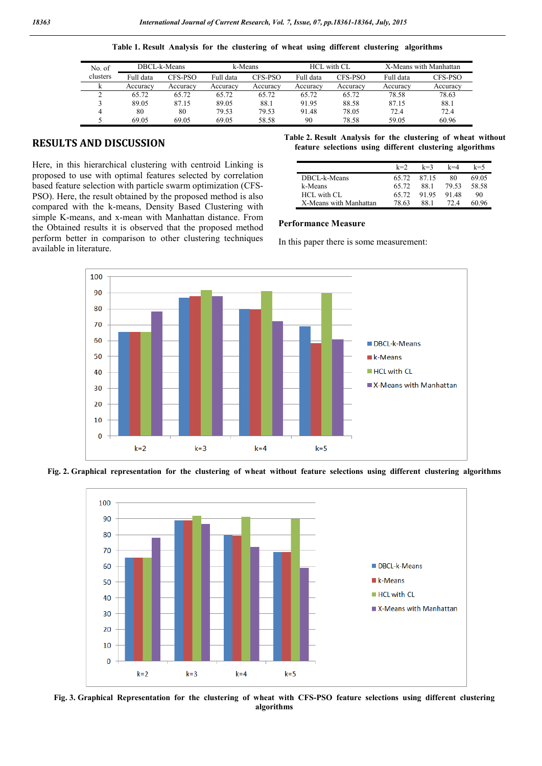| Table 1. Result Analysis for the clustering of wheat using different clustering algorithms |  |  |  |  |  |  |  |  |  |  |
|--------------------------------------------------------------------------------------------|--|--|--|--|--|--|--|--|--|--|
|--------------------------------------------------------------------------------------------|--|--|--|--|--|--|--|--|--|--|

| No. of   | DBCL-k-Means |          | k-Means   |          |           | <b>HCL</b> with CL | X-Means with Manhattan |          |
|----------|--------------|----------|-----------|----------|-----------|--------------------|------------------------|----------|
| clusters | Full data    | CFS-PSO  | Full data | CFS-PSO  | Full data | CFS-PSO            | Full data              | CFS-PSO  |
|          | Accuracv     | Accuracv | Accuracy  | Accuracv | Accuracv  | Accuracy           | Accuracy               | Accuracv |
|          | 65.72        | 65.72    | 65.72     | 65.72    | 65.72     | 65.72              | 78.58                  | 78.63    |
|          | 89.05        | 87.15    | 89.05     | 88.1     | 91.95     | 88.58              | 87.15                  | 88.1     |
|          | 80           | 80       | 79.53     | 79.53    | 91.48     | 78.05              | 72.4                   | 72.4     |
|          | 69.05        | 69.05    | 69.05     | 58.58    | 90        | 78.58              | 59.05                  | 60.96    |

### **RESULTS AND DISCUSSION**

Here, in this hierarchical clustering with centroid Linking is proposed to use with optimal features selected by correlation based feature selection with particle swarm optimization (CFS-PSO). Here, the result obtained by the proposed method is also compared with the k-means, Density Based Clustering with simple K-means, and x-mean with Manhattan distance. From the Obtained results it is observed that the proposed method perform better in comparison to other clustering techniques available in literature.

**Table 2. Result Analysis for the clustering of wheat without feature selections using different clustering algorithms**

|                        | $k=2$ | $k=3$ | $k=4$ | $k = 5$ |
|------------------------|-------|-------|-------|---------|
| DBCL-k-Means           | 65.72 | 87 15 | 80    | 69.05   |
| k-Means                | 65.72 | 88 1  | 79.53 | 58.58   |
| HCL with CL            | 65.72 | 9195  | 9148  | 90      |
| X-Means with Manhattan | 78.63 | 88 1  | 72 A  | 60 96   |

#### **Performance Measure**

In this paper there is some measurement:







**Fig. 3. Graphical Representation for the clustering of wheat with CFS-PSO feature selections using different clustering algorithms**